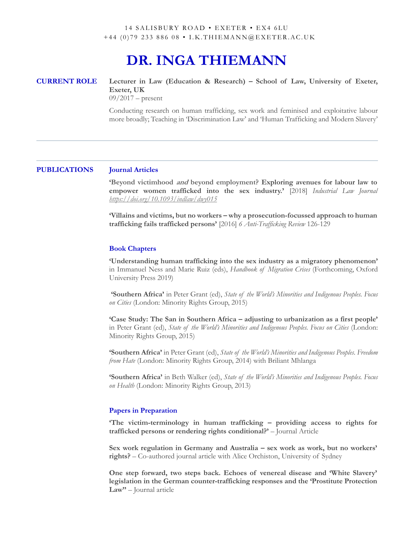## 14 SALISBURY ROAD • EXETER • EX4 6LU +44 (0) 79 233 886 08 • I.K.THIEMANN@EXETER.AC.UK

# **DR. INGA THIEMANN**

**CURRENT ROLE Lecturer in Law (Education & Research) – School of Law, University of Exeter, Exeter, UK**

 $09/2017$  – present

Conducting research on human trafficking, sex work and feminised and exploitative labour more broadly; Teaching in 'Discrimination Law' and 'Human Trafficking and Modern Slavery'

# **PUBLICATIONS Journal Articles**

**'Beyond victimhood and beyond employment? Exploring avenues for labour law to empower women trafficked into the sex industry.'** [2018] *Industrial Law Journal https://doi.org/10.1093/indlaw/dwy015*

**'Villains and victims, but no workers – why a prosecution-focussed approach to human trafficking fails trafficked persons'** [2016] *6 Anti-Trafficking Review* 126-129

### **Book Chapters**

**'Understanding human trafficking into the sex industry as a migratory phenomenon'** in Immanuel Ness and Marie Ruiz (eds), *Handbook of Migration Crises* (Forthcoming, Oxford University Press 2019)

**'Southern Africa'** in Peter Grant (ed), *State of the World's Minorities and Indigenous Peoples. Focus on Cities* (London: Minority Rights Group, 2015)

**'Case Study: The San in Southern Africa – adjusting to urbanization as a first people'** in Peter Grant (ed), *State of the World's Minorities and Indigenous Peoples. Focus on Cities* (London: Minority Rights Group, 2015)

**'Southern Africa'** in Peter Grant (ed), *State of the World's Minorities and Indigenous Peoples. Freedom from Hate* (London: Minority Rights Group, 2014) with Briliant Mhlanga

**'Southern Africa'** in Beth Walker (ed), *State of the World's Minorities and Indigenous Peoples. Focus on Health* (London: Minority Rights Group, 2013)

### **Papers in Preparation**

**'The victim-terminology in human trafficking – providing access to rights for trafficked persons or rendering rights conditional?'** – Journal Article

**Sex work regulation in Germany and Australia – sex work as work, but no workers' rights?** – Co-authored journal article with Alice Orchiston, University of Sydney

**One step forward, two steps back. Echoes of venereal disease and 'White Slavery' legislation in the German counter-trafficking responses and the 'Prostitute Protection Law''** – Journal article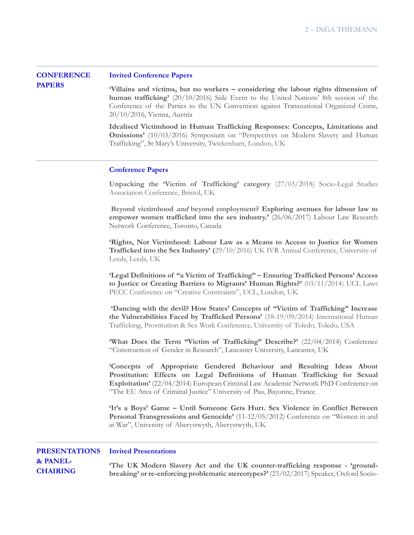### **CONFERENCE Invited Conference Papers**

**PAPERS**

**'Villains and victims, but no workers – considering the labour rights dimension of human trafficking'** (20/10/2016) Side Event to the United Nations' 8th session of the Conference of the Parties to the UN Convention against Transnational Organized Crime, 20/10/2016, Vienna, Austria

**Idealised Victimhood in Human Trafficking Responses: Concepts, Limitations and Omissions'** (10/03/2016) Symposium on "Perspectives on Modern Slavery and Human Trafficking", St Mary's University, Twickenham, London, UK

### **Conference Papers**

**Unpacking the 'Victim of Trafficking' category** (27/03/2018) Socio-Legal Studies Association Conference, Bristol, UK

**Beyond victimhood and beyond employment? Exploring avenues for labour law to empower women trafficked into the sex industry.'** (26/06/2017) Labour Law Research Network Conference, Toronto, Canada

**'Rights, Not Victimhood: Labour Law as a Means to Access to Justice for Women Trafficked into the Sex Industry' (**29/10/2016) UK IVR Annual Conference, University of Leeds, Leeds, UK

**'Legal Definitions of "a Victim of Trafficking" – Ensuring Trafficked Persons' Access to Justice or Creating Barriers to Migrants' Human Rights?'** (03/11/2014) UCL Laws PECC Conference on "Creative Constraints", UCL, London, UK

**'Dancing with the devil? How States' Concepts of "Victim of Trafficking" Increase the Vulnerabilities Faced by Trafficked Persons'** (18-19/09/2014) International Human Trafficking, Prostitution & Sex Work Conference, University of Toledo, Toledo, USA

'What Does the Term "Victim of Trafficking" Describe?' (22/04/2014) Conference "Construction of Gender in Research", Lancaster University, Lancaster, UK

**'Concepts of Appropriate Gendered Behaviour and Resulting Ideas About Prostitution: Effects on Legal Definitions of Human Trafficking for Sexual Exploitation'** (22/04/2014) European Criminal Law Academic Network PhD Conference on "The EU Area of Criminal Justice" University of Pau, Bayonne, France

**'It's a Boys' Game – Until Someone Gets Hurt. Sex Violence in Conflict Between Personal Transgressions and Genocide'** (11-12/05/2012) Conference on "Women in and at War", University of Aberystwyth, Aberystwyth, UK

### **PRESENTATIONS Invited Presentations**

**& PANEL-CHAIRING**

**'The UK Modern Slavery Act and the UK counter-trafficking response - 'groundbreaking' or re-enforcing problematic stereotypes?'** (23/02/2017) Speaker, Oxford Socio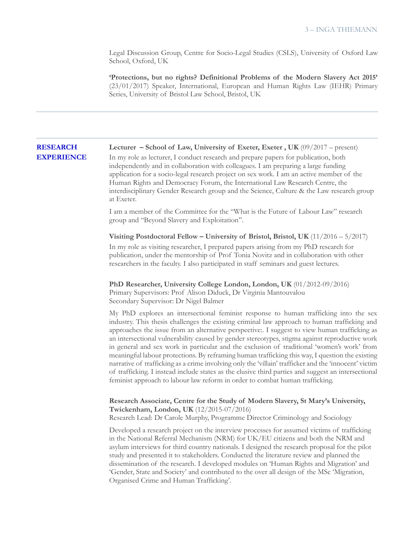Legal Discussion Group, Centre for Socio-Legal Studies (CSLS), University of Oxford Law School, Oxford, UK

**'Protections, but no rights? Definitional Problems of the Modern Slavery Act 2015'**  (23/01/2017) Speaker, International, European and Human Rights Law (IEHR) Primary Series, University of Bristol Law School, Bristol, UK

### **RESEARCH EXPERIENCE Lecturer – School of Law, University of Exeter, Exeter , UK** (09/2017 – present) In my role as lecturer, I conduct research and prepare papers for publication, both

independently and in collaboration with colleagues. I am preparing a large funding application for a socio-legal research project on sex work. I am an active member of the Human Rights and Democracy Forum, the International Law Research Centre, the interdisciplinary Gender Research group and the Science, Culture & the Law research group at Exeter.

I am a member of the Committee for the "What is the Future of Labour Law" research group and "Beyond Slavery and Exploitation".

**Visiting Postdoctoral Fellow – University of Bristol, Bristol, UK** (11/2016 – 5/2017) In my role as visiting researcher, I prepared papers arising from my PhD research for publication, under the mentorship of Prof Tonia Novitz and in collaboration with other researchers in the faculty. I also participated in staff seminars and guest lectures.

**PhD Researcher, University College London, London, UK** (01/2012-09/2016) Primary Supervisors: Prof Alison Diduck, Dr Virginia Mantouvalou Secondary Supervisor: Dr Nigel Balmer

My PhD explores an intersectional feminist response to human trafficking into the sex industry. This thesis challenges the existing criminal law approach to human trafficking and approaches the issue from an alternative perspective:. I suggest to view human trafficking as an intersectional vulnerability caused by gender stereotypes, stigma against reproductive work in general and sex work in particular and the exclusion of traditional 'women's work' from meaningful labour protections. By reframing human trafficking this way, I question the existing narrative of trafficking as a crime involving only the 'villain' trafficker and the 'innocent' victim of trafficking. I instead include states as the elusive third parties and suggest an intersectional feminist approach to labour law reform in order to combat human trafficking.

# **Research Associate, Centre for the Study of Modern Slavery, St Mary's University, Twickenham, London, UK** (12/2015-07/2016)

Research Lead: Dr Carole Murphy, Programme Director Criminology and Sociology

Developed a research project on the interview processes for assumed victims of trafficking in the National Referral Mechanism (NRM) for UK/EU citizens and both the NRM and asylum interviews for third country nationals. I designed the research proposal for the pilot study and presented it to stakeholders. Conducted the literature review and planned the dissemination of the research. I developed modules on 'Human Rights and Migration' and 'Gender, State and Society' and contributed to the over all design of the MSc 'Migration, Organised Crime and Human Trafficking'.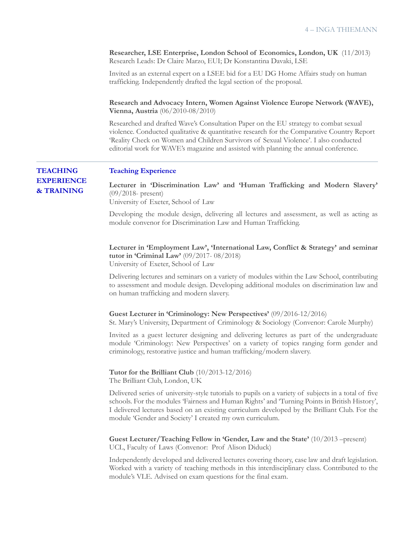**Researcher, LSE Enterprise, London School of Economics, London, UK** (11/2013) Research Leads: Dr Claire Marzo, EUI; Dr Konstantina Davaki, LSE

Invited as an external expert on a LSEE bid for a EU DG Home Affairs study on human trafficking. Independently drafted the legal section of the proposal.

**Research and Advocacy Intern, Women Against Violence Europe Network (WAVE), Vienna, Austria** (06/2010-08/2010)

Researched and drafted Wave's Consultation Paper on the EU strategy to combat sexual violence. Conducted qualitative & quantitative research for the Comparative Country Report 'Reality Check on Women and Children Survivors of Sexual Violence'. I also conducted editorial work for WAVE's magazine and assisted with planning the annual conference.

### **Teaching Experience**

**TEACHING EXPERIENCE & TRAINING**

**Lecturer in 'Discrimination Law' and 'Human Trafficking and Modern Slavery'**  (09/2018- present) University of Exeter, School of Law

Developing the module design, delivering all lectures and assessment, as well as acting as module convenor for Discrimination Law and Human Trafficking.

**Lecturer in 'Employment Law', 'International Law, Conflict & Strategy' and seminar tutor in 'Criminal Law'** (09/2017- 08/2018) University of Exeter, School of Law

Delivering lectures and seminars on a variety of modules within the Law School, contributing to assessment and module design. Developing additional modules on discrimination law and on human trafficking and modern slavery.

### **Guest Lecturer in 'Criminology: New Perspectives'** (09/2016-12/2016)

St. Mary's University, Department of Criminology & Sociology (Convenor: Carole Murphy)

Invited as a guest lecturer designing and delivering lectures as part of the undergraduate module 'Criminology: New Perspectives' on a variety of topics ranging form gender and criminology, restorative justice and human trafficking/modern slavery.

**Tutor for the Brilliant Club** (10/2013-12/2016) The Brilliant Club, London, UK

Delivered series of university-style tutorials to pupils on a variety of subjects in a total of five schools. For the modules 'Fairness and Human Rights' and 'Turning Points in British History', I delivered lectures based on an existing curriculum developed by the Brilliant Club. For the module 'Gender and Society' I created my own curriculum.

**Guest Lecturer/Teaching Fellow in 'Gender, Law and the State'** (10/2013 –present) UCL, Faculty of Laws (Convenor: Prof Alison Diduck)

Independently developed and delivered lectures covering theory, case law and draft legislation. Worked with a variety of teaching methods in this interdisciplinary class. Contributed to the module's VLE. Advised on exam questions for the final exam.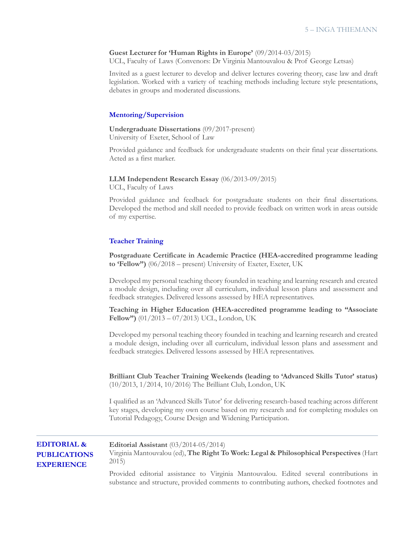### **Guest Lecturer for 'Human Rights in Europe'** (09/2014-03/2015)

UCL, Faculty of Laws (Convenors: Dr Virginia Mantouvalou & Prof George Letsas)

Invited as a guest lecturer to develop and deliver lectures covering theory, case law and draft legislation. Worked with a variety of teaching methods including lecture style presentations, debates in groups and moderated discussions.

## **Mentoring/Supervision**

**Undergraduate Dissertations** (09/2017-present) University of Exeter, School of Law

Provided guidance and feedback for undergraduate students on their final year dissertations. Acted as a first marker.

### **LLM Independent Research Essay** (06/2013-09/2015)

UCL, Faculty of Laws

Provided guidance and feedback for postgraduate students on their final dissertations. Developed the method and skill needed to provide feedback on written work in areas outside of my expertise.

## **Teacher Training**

**Postgraduate Certificate in Academic Practice (HEA-accredited programme leading to 'Fellow")** (06/2018 – present) University of Exeter, Exeter, UK

Developed my personal teaching theory founded in teaching and learning research and created a module design, including over all curriculum, individual lesson plans and assessment and feedback strategies. Delivered lessons assessed by HEA representatives.

**Teaching in Higher Education (HEA-accredited programme leading to "Associate Fellow")** (01/2013 – 07/2013) UCL, London, UK

Developed my personal teaching theory founded in teaching and learning research and created a module design, including over all curriculum, individual lesson plans and assessment and feedback strategies. Delivered lessons assessed by HEA representatives.

**Brilliant Club Teacher Training Weekends (leading to 'Advanced Skills Tutor' status)**  (10/2013, 1/2014, 10/2016) The Brilliant Club, London, UK

I qualified as an 'Advanced Skills Tutor' for delivering research-based teaching across different key stages, developing my own course based on my research and for completing modules on Tutorial Pedagogy, Course Design and Widening Participation.

| <b>EDITORIAL &amp;</b>                   | <b>Editorial Assistant</b> $(03/2014 - 05/2014)$                                                                                                                                    |
|------------------------------------------|-------------------------------------------------------------------------------------------------------------------------------------------------------------------------------------|
| <b>PUBLICATIONS</b><br><b>EXPERIENCE</b> | Virginia Mantouvalou (ed), The Right To Work: Legal & Philosophical Perspectives (Hart<br>2015                                                                                      |
|                                          | Provided editorial assistance to Virginia Mantouvalou. Edited several contributions in<br>substance and structure, provided comments to contributing authors, checked footnotes and |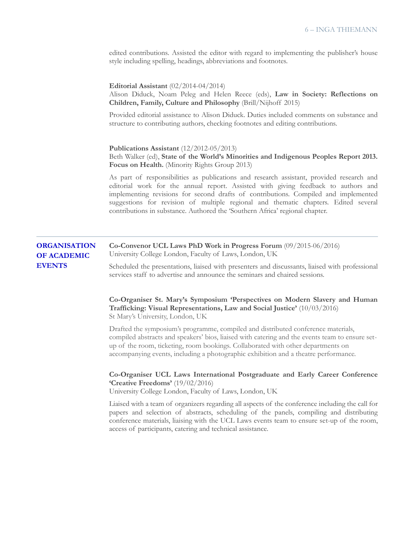edited contributions. Assisted the editor with regard to implementing the publisher's house style including spelling, headings, abbreviations and footnotes.

|                                                            | Editorial Assistant $(02/2014 - 04/2014)$<br>Alison Diduck, Noam Peleg and Helen Reece (eds), Law in Society: Reflections on<br>Children, Family, Culture and Philosophy (Brill/Nijhoff 2015)                                                                                                                                                                                                                                                 |
|------------------------------------------------------------|-----------------------------------------------------------------------------------------------------------------------------------------------------------------------------------------------------------------------------------------------------------------------------------------------------------------------------------------------------------------------------------------------------------------------------------------------|
|                                                            | Provided editorial assistance to Alison Diduck. Duties included comments on substance and<br>structure to contributing authors, checking footnotes and editing contributions.                                                                                                                                                                                                                                                                 |
|                                                            | Publications Assistant $(12/2012-05/2013)$<br>Beth Walker (ed), State of the World's Minorities and Indigenous Peoples Report 2013.<br>Focus on Health. (Minority Rights Group 2013)                                                                                                                                                                                                                                                          |
|                                                            | As part of responsibilities as publications and research assistant, provided research and<br>editorial work for the annual report. Assisted with giving feedback to authors and<br>implementing revisions for second drafts of contributions. Compiled and implemented<br>suggestions for revision of multiple regional and thematic chapters. Edited several<br>contributions in substance. Authored the 'Southern Africa' regional chapter. |
| <b>ORGANISATION</b><br><b>OF ACADEMIC</b><br><b>EVENTS</b> | Co-Convenor UCL Laws PhD Work in Progress Forum (09/2015-06/2016)<br>University College London, Faculty of Laws, London, UK                                                                                                                                                                                                                                                                                                                   |
|                                                            | Scheduled the presentations, liaised with presenters and discussants, liaised with professional<br>services staff to advertise and announce the seminars and chaired sessions.                                                                                                                                                                                                                                                                |
|                                                            | Co-Organiser St. Mary's Symposium 'Perspectives on Modern Slavery and Human<br>Trafficking: Visual Representations, Law and Social Justice' (10/03/2016)<br>St Mary's University, London, UK                                                                                                                                                                                                                                                  |
|                                                            | Drafted the symposium's programme, compiled and distributed conference materials,<br>compiled abstracts and speakers' bios, liaised with catering and the events team to ensure set-<br>up of the room, ticketing, room bookings. Collaborated with other departments on<br>accompanying events, including a photographic exhibition and a theatre performance.                                                                               |
|                                                            | Co-Organiser UCL Laws International Postgraduate and Early Career Conference<br><b>'Creative Freedoms'</b> $(19/02/2016)$<br>University College London, Faculty of Laws, London, UK                                                                                                                                                                                                                                                           |
|                                                            | Liaised with a team of organizers regarding all aspects of the conference including the call for<br>papers and selection of abstracts, scheduling of the panels, compiling and distributing<br>conference materials, liaising with the UCL Laws events team to ensure set-up of the room,<br>access of participants, catering and technical assistance.                                                                                       |
|                                                            |                                                                                                                                                                                                                                                                                                                                                                                                                                               |